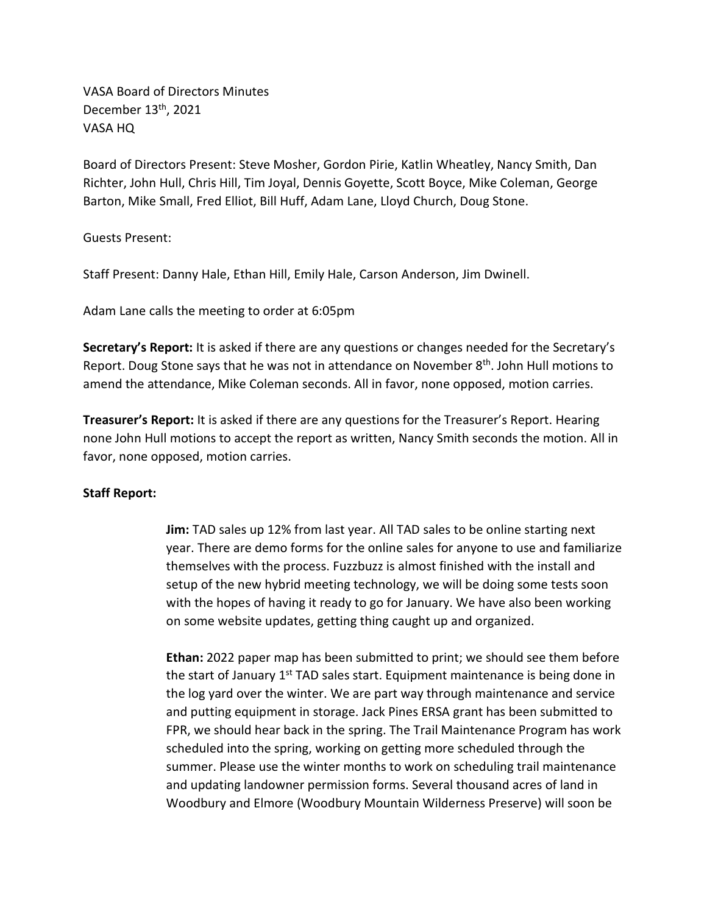VASA Board of Directors Minutes December 13<sup>th</sup>, 2021 VASA HQ

Board of Directors Present: Steve Mosher, Gordon Pirie, Katlin Wheatley, Nancy Smith, Dan Richter, John Hull, Chris Hill, Tim Joyal, Dennis Goyette, Scott Boyce, Mike Coleman, George Barton, Mike Small, Fred Elliot, Bill Huff, Adam Lane, Lloyd Church, Doug Stone.

Guests Present:

Staff Present: Danny Hale, Ethan Hill, Emily Hale, Carson Anderson, Jim Dwinell.

Adam Lane calls the meeting to order at 6:05pm

**Secretary's Report:** It is asked if there are any questions or changes needed for the Secretary's Report. Doug Stone says that he was not in attendance on November  $8<sup>th</sup>$ . John Hull motions to amend the attendance, Mike Coleman seconds. All in favor, none opposed, motion carries.

**Treasurer's Report:** It is asked if there are any questions for the Treasurer's Report. Hearing none John Hull motions to accept the report as written, Nancy Smith seconds the motion. All in favor, none opposed, motion carries.

## **Staff Report:**

**Jim:** TAD sales up 12% from last year. All TAD sales to be online starting next year. There are demo forms for the online sales for anyone to use and familiarize themselves with the process. Fuzzbuzz is almost finished with the install and setup of the new hybrid meeting technology, we will be doing some tests soon with the hopes of having it ready to go for January. We have also been working on some website updates, getting thing caught up and organized.

**Ethan:** 2022 paper map has been submitted to print; we should see them before the start of January 1<sup>st</sup> TAD sales start. Equipment maintenance is being done in the log yard over the winter. We are part way through maintenance and service and putting equipment in storage. Jack Pines ERSA grant has been submitted to FPR, we should hear back in the spring. The Trail Maintenance Program has work scheduled into the spring, working on getting more scheduled through the summer. Please use the winter months to work on scheduling trail maintenance and updating landowner permission forms. Several thousand acres of land in Woodbury and Elmore (Woodbury Mountain Wilderness Preserve) will soon be